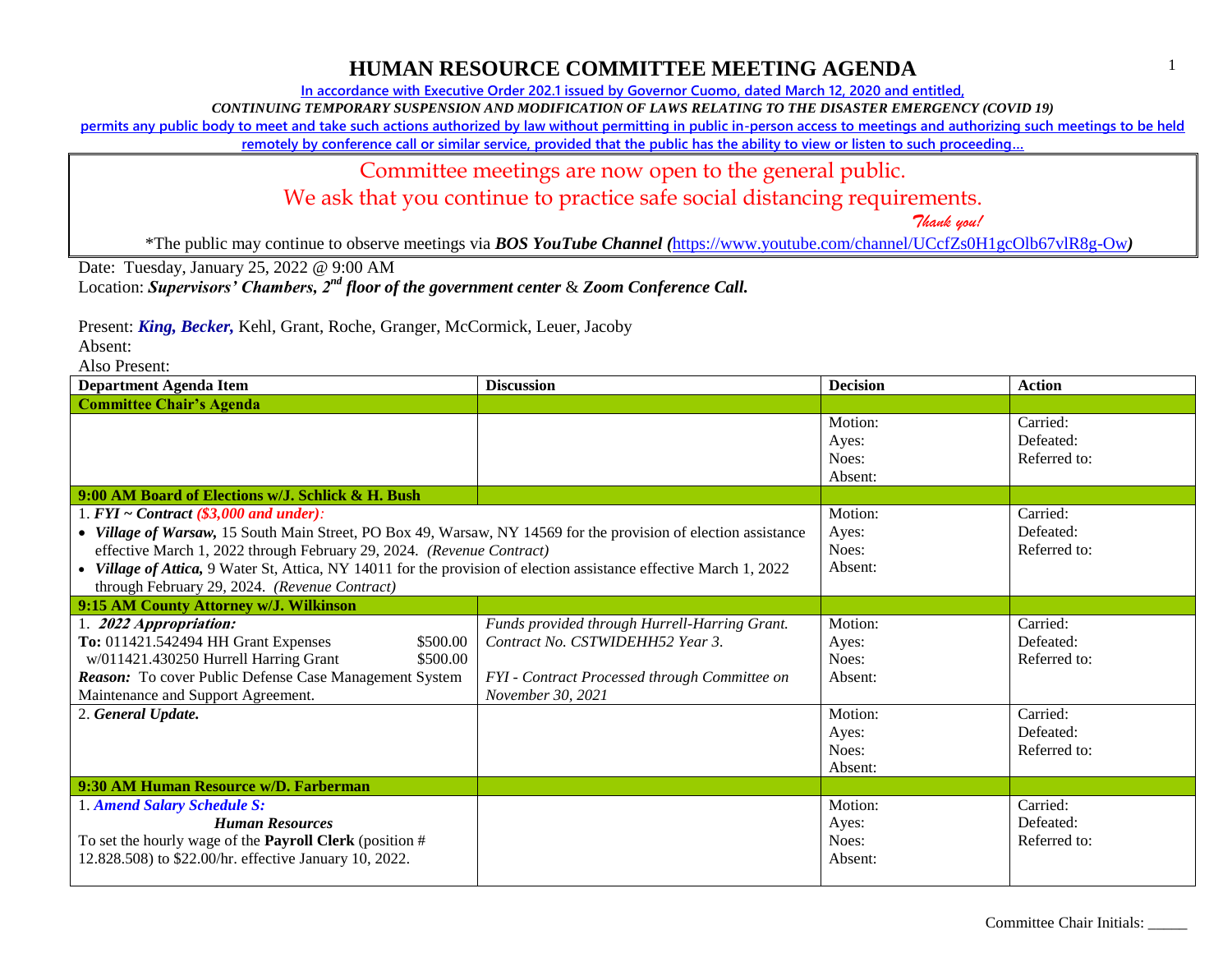## **HUMAN RESOURCE COMMITTEE MEETING AGENDA**

**In accordance with Executive Order 202.1 issued by Governor Cuomo, dated March 12, 2020 and entitled,**

*CONTINUING TEMPORARY SUSPENSION AND MODIFICATION OF LAWS RELATING TO THE DISASTER EMERGENCY (COVID 19)*

**permits any public body to meet and take such actions authorized by law without permitting in public in-person access to meetings and authorizing such meetings to be held** 

**remotely by conference call or similar service, provided that the public has the ability to view or listen to such proceeding…**

#### Committee meetings are now open to the general public.

We ask that you continue to practice safe social distancing requirements.

 *Thank you!*

\*The public may continue to observe meetings via *BOS YouTube Channel (*<https://www.youtube.com/channel/UCcfZs0H1gcOlb67vlR8g-Ow>*)*

Date: Tuesday, January 25, 2022 @ 9:00 AM

Location: *Supervisors' Chambers, 2nd floor of the government center* & *Zoom Conference Call.*

Present: *King, Becker,* Kehl, Grant, Roche, Granger, McCormick, Leuer, Jacoby

Absent:

Also Present:

| <b>Department Agenda Item</b>                                                                                                                                                                                                                                                                                                                                                                                  | <b>Discussion</b>                                                                                                                                       | <b>Decision</b>                      | <b>Action</b>                         |
|----------------------------------------------------------------------------------------------------------------------------------------------------------------------------------------------------------------------------------------------------------------------------------------------------------------------------------------------------------------------------------------------------------------|---------------------------------------------------------------------------------------------------------------------------------------------------------|--------------------------------------|---------------------------------------|
| <b>Committee Chair's Agenda</b>                                                                                                                                                                                                                                                                                                                                                                                |                                                                                                                                                         |                                      |                                       |
|                                                                                                                                                                                                                                                                                                                                                                                                                |                                                                                                                                                         | Motion:<br>Ayes:<br>Noes:<br>Absent: | Carried:<br>Defeated:<br>Referred to: |
| 9:00 AM Board of Elections w/J. Schlick & H. Bush                                                                                                                                                                                                                                                                                                                                                              |                                                                                                                                                         |                                      |                                       |
| 1. $FYI \sim Contract$ (\$3,000 and under):<br>• Village of Warsaw, 15 South Main Street, PO Box 49, Warsaw, NY 14569 for the provision of election assistance<br>effective March 1, 2022 through February 29, 2024. (Revenue Contract)<br>• Village of Attica, 9 Water St, Attica, NY 14011 for the provision of election assistance effective March 1, 2022<br>through February 29, 2024. (Revenue Contract) |                                                                                                                                                         | Motion:<br>Ayes:<br>Noes:<br>Absent: | Carried:<br>Defeated:<br>Referred to: |
| 9:15 AM County Attorney w/J. Wilkinson                                                                                                                                                                                                                                                                                                                                                                         |                                                                                                                                                         |                                      |                                       |
| 1. 2022 Appropriation:<br>To: 011421.542494 HH Grant Expenses<br>\$500.00<br>w/011421.430250 Hurrell Harring Grant<br>\$500.00<br>Reason: To cover Public Defense Case Management System<br>Maintenance and Support Agreement.                                                                                                                                                                                 | Funds provided through Hurrell-Harring Grant.<br>Contract No. CSTWIDEHH52 Year 3.<br>FYI - Contract Processed through Committee on<br>November 30, 2021 | Motion:<br>Ayes:<br>Noes:<br>Absent: | Carried:<br>Defeated:<br>Referred to: |
| 2. General Update.                                                                                                                                                                                                                                                                                                                                                                                             |                                                                                                                                                         | Motion:<br>Ayes:<br>Noes:<br>Absent: | Carried:<br>Defeated:<br>Referred to: |
| 9:30 AM Human Resource w/D. Farberman                                                                                                                                                                                                                                                                                                                                                                          |                                                                                                                                                         |                                      |                                       |
| 1. Amend Salary Schedule S:<br><b>Human Resources</b><br>To set the hourly wage of the <b>Payroll Clerk</b> (position $#$<br>12.828.508) to \$22.00/hr. effective January 10, 2022.                                                                                                                                                                                                                            |                                                                                                                                                         | Motion:<br>Ayes:<br>Noes:<br>Absent: | Carried:<br>Defeated:<br>Referred to: |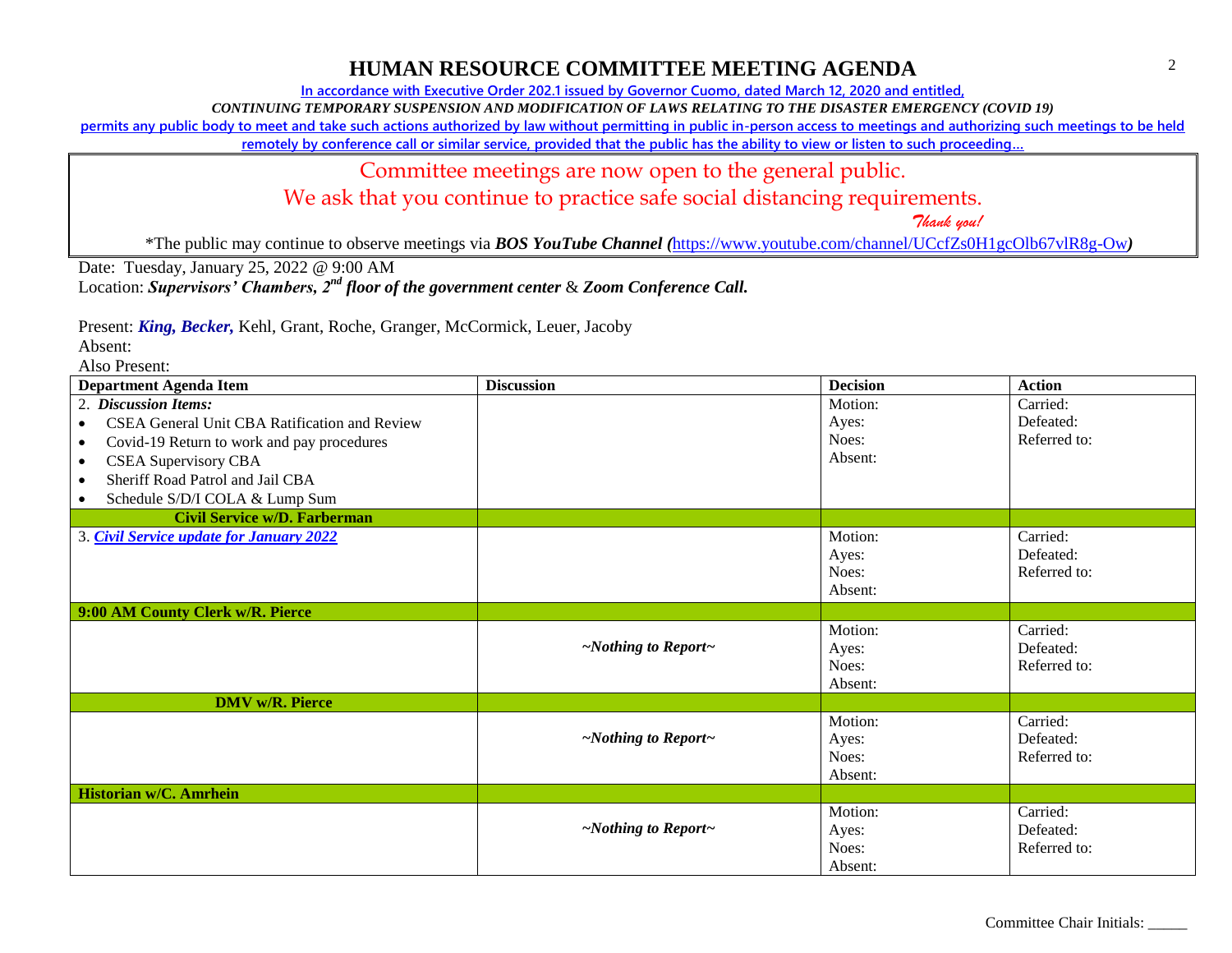## **HUMAN RESOURCE COMMITTEE MEETING AGENDA**

**In accordance with Executive Order 202.1 issued by Governor Cuomo, dated March 12, 2020 and entitled,**

*CONTINUING TEMPORARY SUSPENSION AND MODIFICATION OF LAWS RELATING TO THE DISASTER EMERGENCY (COVID 19)*

**permits any public body to meet and take such actions authorized by law without permitting in public in-person access to meetings and authorizing such meetings to be held** 

**remotely by conference call or similar service, provided that the public has the ability to view or listen to such proceeding…**

### Committee meetings are now open to the general public.

We ask that you continue to practice safe social distancing requirements.

 *Thank you!*

\*The public may continue to observe meetings via *BOS YouTube Channel (*<https://www.youtube.com/channel/UCcfZs0H1gcOlb67vlR8g-Ow>*)*

Date: Tuesday, January 25, 2022 @ 9:00 AM

Location: *Supervisors' Chambers, 2nd floor of the government center* & *Zoom Conference Call.*

Present: *King, Becker,* Kehl, Grant, Roche, Granger, McCormick, Leuer, Jacoby

Absent:

Also Present:

| <b>Department Agenda Item</b>                              | <b>Discussion</b>               | <b>Decision</b> | <b>Action</b> |
|------------------------------------------------------------|---------------------------------|-----------------|---------------|
| 2. Discussion Items:                                       |                                 | Motion:         | Carried:      |
| CSEA General Unit CBA Ratification and Review<br>$\bullet$ |                                 | Ayes:           | Defeated:     |
| Covid-19 Return to work and pay procedures<br>$\bullet$    |                                 | Noes:           | Referred to:  |
| <b>CSEA Supervisory CBA</b><br>$\bullet$                   |                                 | Absent:         |               |
| Sheriff Road Patrol and Jail CBA<br>$\bullet$              |                                 |                 |               |
| Schedule S/D/I COLA & Lump Sum<br>$\bullet$                |                                 |                 |               |
| <b>Civil Service w/D. Farberman</b>                        |                                 |                 |               |
| 3. Civil Service update for January 2022                   |                                 | Motion:         | Carried:      |
|                                                            |                                 | Ayes:           | Defeated:     |
|                                                            |                                 | Noes:           | Referred to:  |
|                                                            |                                 | Absent:         |               |
| 9:00 AM County Clerk w/R. Pierce                           |                                 |                 |               |
|                                                            |                                 | Motion:         | Carried:      |
|                                                            | $\sim$ Nothing to Report $\sim$ | Ayes:           | Defeated:     |
|                                                            |                                 | Noes:           | Referred to:  |
|                                                            |                                 | Absent:         |               |
| <b>DMV</b> w/ <b>R</b> . Pierce                            |                                 |                 |               |
|                                                            |                                 | Motion:         | Carried:      |
|                                                            | $\sim$ Nothing to Report $\sim$ | Ayes:           | Defeated:     |
|                                                            |                                 | Noes:           | Referred to:  |
|                                                            |                                 | Absent:         |               |
| Historian w/C. Amrhein                                     |                                 |                 |               |
|                                                            |                                 | Motion:         | Carried:      |
|                                                            | $\sim$ Nothing to Report $\sim$ | Ayes:           | Defeated:     |
|                                                            |                                 | Noes:           | Referred to:  |
|                                                            |                                 | Absent:         |               |